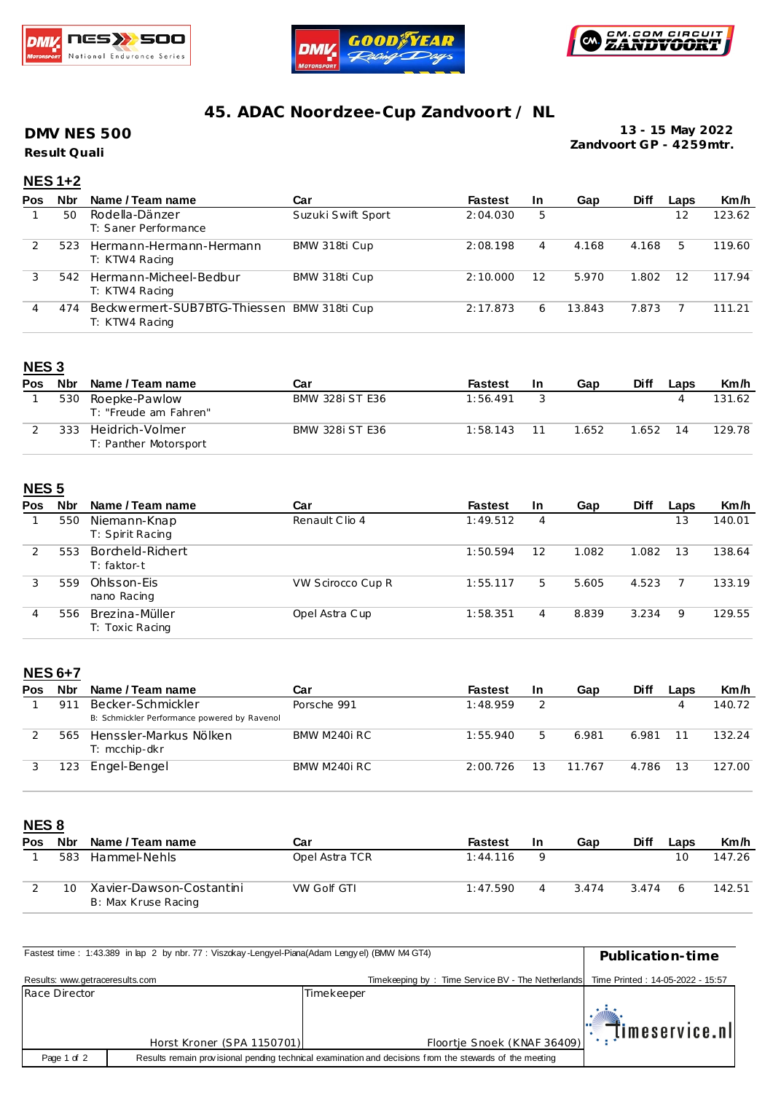





## **45. ADAC Noordzee-Cup Zandvoort / NL**

### **DMV NES 500**

**Result Quali**

**13 - 15 May 2022 Zandvoort GP - 4259mtr.**

## **NES 1+2**

| Pos | <b>Nbr</b> | Name / Team name                                             | Car                | <b>Fastest</b> | <b>In</b> | Gap    | <b>Diff</b> | Laps | Km/h   |
|-----|------------|--------------------------------------------------------------|--------------------|----------------|-----------|--------|-------------|------|--------|
|     | 50         | Rodella-Dänzer<br>T: Saner Performance                       | Suzuki Swift Sport | 2:04.030       | 5         |        |             | 12   | 123.62 |
|     | 523        | Hermann-Hermann-Hermann<br>T: KTW4 Racing                    | BMW 318ti Cup      | 2:08.198       | 4         | 4.168  | 4.168       | 5    | 119.60 |
|     | 542        | Hermann-Micheel-Bedbur<br>T: KTW4 Racing                     | BMW 318ti Cup      | 2:10.000       | 12        | 5.970  | 1.802       | 12   | 117.94 |
| 4   | 474        | Beckwermert-SUB7BTG-Thiessen BMW 318ti Cup<br>T: KTW4 Racing |                    | 2:17.873       | 6         | 13.843 | 7.873       |      | 111.21 |

### **NES 3**

| Pos | <b>Nbr</b> | Name / Team name                         | Car                    | <b>Fastest</b> | In | Gap   | Diff  | Laps | Km/h   |
|-----|------------|------------------------------------------|------------------------|----------------|----|-------|-------|------|--------|
|     | 530        | Roepke-Pawlow<br>T: "Freude am Fahren"   | <b>BMW 328i ST E36</b> | 1:56.491       |    |       |       |      | 131.62 |
|     | 333        | Heidrich-Volmer<br>T: Panther Motorsport | <b>BMW 328i ST E36</b> | 1:58.143       |    | 1.652 | 1.652 | 14   | 129.78 |

#### **NES 5**

| Pos | <b>Nbr</b> | Name / Team name                  | Car               | <b>Fastest</b> | <b>In</b> | Gap   | <b>Diff</b> | Laps | Km/h   |
|-----|------------|-----------------------------------|-------------------|----------------|-----------|-------|-------------|------|--------|
|     | 550        | Niemann-Knap<br>T: Spirit Racing  | Renault Clio 4    | 1:49.512       | 4         |       |             | 13   | 140.01 |
|     | 553        | Borcheld-Richert<br>T: faktor-t   |                   | 1:50.594       | 12        | 1.082 | 1.082       | 13   | 138.64 |
| 3   | 559        | Ohlsson-Eis<br>nano Racing        | VW Scirocco Cup R | 1:55.117       | 5         | 5.605 | 4.523       |      | 133.19 |
| 4   | 556        | Brezina-Müller<br>T: Toxic Racing | Opel Astra Cup    | 1:58.351       | 4         | 8.839 | 3.234       | 9    | 129.55 |

#### **NES 6+7**

| Pos | <b>Nbr</b> | Name / Team name                                                  | Car          | <b>Fastest</b> | In | Gap    | <b>Diff</b> | Laps | Km/h   |
|-----|------------|-------------------------------------------------------------------|--------------|----------------|----|--------|-------------|------|--------|
|     | 91         | Becker-Schmickler<br>B: Schmickler Performance powered by Ravenol | Porsche 991  | 1:48.959       |    |        |             |      | 140.72 |
|     | 565        | Henssler-Markus Nölken<br>T: mcchip-dkr                           | BMW M240i RC | 1:55.940       |    | 6.981  | 6.981       |      | 132.24 |
|     | '23        | Engel-Bengel                                                      | BMW M240i RC | 2:00.726       |    | 11.767 | 4.786       | 13   | 127.00 |

**NES 8**

| Pos | Nbr | Name / Team name                                | Car                | Fastest  | <b>In</b> | Gap   | Diff  | ∟aps | Km/h   |
|-----|-----|-------------------------------------------------|--------------------|----------|-----------|-------|-------|------|--------|
|     | 583 | Hammel-Nehls                                    | Opel Astra TCR     | 1:44.116 |           |       |       | 10   | 147.26 |
|     | 10  | Xavier-Dawson-Costantini<br>B: Max Kruse Racing | <b>VW Golf GTI</b> | 1:47.590 |           | 3.474 | 3.474 | 6    | 142.51 |

| Fastest time: 1:43.389 in lap 2 by nbr. 77: Viszokay-Lengyel-Piana(Adam Lengyel) (BMW M4 GT4) | Publication-time           |                                                                                                         |                                  |
|-----------------------------------------------------------------------------------------------|----------------------------|---------------------------------------------------------------------------------------------------------|----------------------------------|
| Results: www.getraceresults.com                                                               |                            | Timekeeping by: Time Service BV - The Netherlands                                                       | Time Printed: 14-05-2022 - 15:57 |
| Race Director                                                                                 |                            | Timekeeper                                                                                              |                                  |
|                                                                                               |                            |                                                                                                         | $\mathbb{E}$ imeservice.nl       |
|                                                                                               | Horst Kroner (SPA 1150701) | Floortje Snoek (KNAF 36409)                                                                             |                                  |
| Page 1 of 2                                                                                   |                            | Results remain provisional pending technical examination and decisions from the stewards of the meeting |                                  |